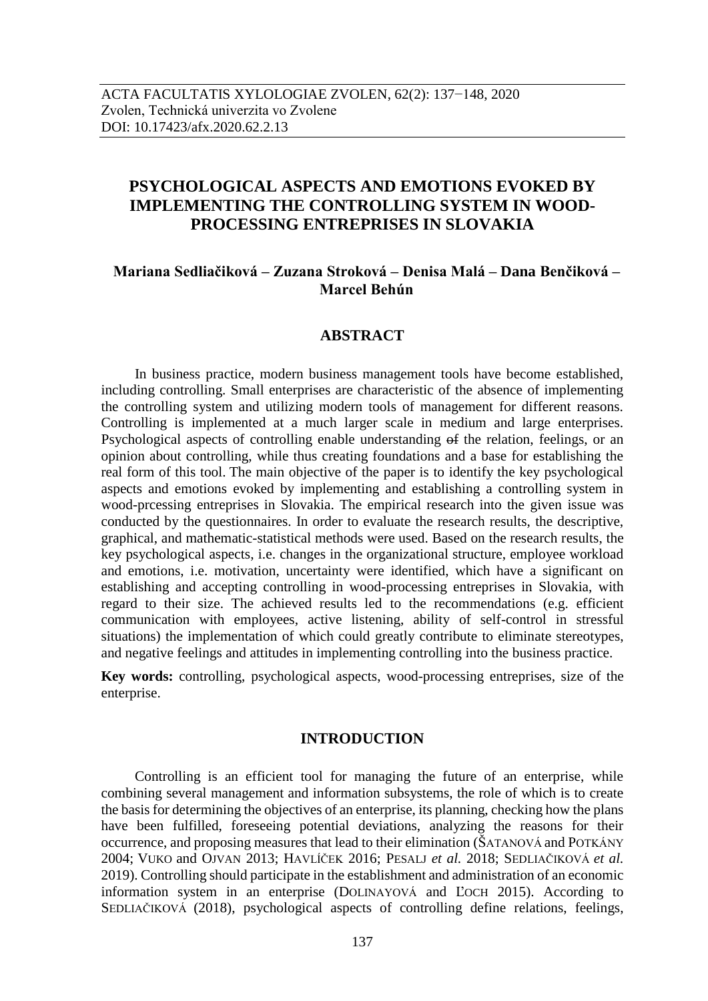# **PSYCHOLOGICAL ASPECTS AND EMOTIONS EVOKED BY IMPLEMENTING THE CONTROLLING SYSTEM IN WOOD-PROCESSING ENTREPRISES IN SLOVAKIA**

## **Mariana Sedliačiková – Zuzana Stroková – Denisa Malá – Dana Benčiková – Marcel Behún**

## **ABSTRACT**

In business practice, modern business management tools have become established, including controlling. Small enterprises are characteristic of the absence of implementing the controlling system and utilizing modern tools of management for different reasons. Controlling is implemented at a much larger scale in medium and large enterprises. Psychological aspects of controlling enable understanding of the relation, feelings, or an opinion about controlling, while thus creating foundations and a base for establishing the real form of this tool. The main objective of the paper is to identify the key psychological aspects and emotions evoked by implementing and establishing a controlling system in wood-prcessing entreprises in Slovakia. The empirical research into the given issue was conducted by the questionnaires. In order to evaluate the research results, the descriptive, graphical, and mathematic-statistical methods were used. Based on the research results, the key psychological aspects, i.e. changes in the organizational structure, employee workload and emotions, i.e. motivation, uncertainty were identified, which have a significant on establishing and accepting controlling in wood-processing entreprises in Slovakia, with regard to their size. The achieved results led to the recommendations (e.g. efficient communication with employees, active listening, ability of self-control in stressful situations) the implementation of which could greatly contribute to eliminate stereotypes, and negative feelings and attitudes in implementing controlling into the business practice.

**Key words:** controlling, psychological aspects, wood-processing entreprises, size of the enterprise.

## **INTRODUCTION**

Controlling is an efficient tool for managing the future of an enterprise, while combining several management and information subsystems, the role of which is to create the basis for determining the objectives of an enterprise, its planning, checking how the plans have been fulfilled, foreseeing potential deviations, analyzing the reasons for their occurrence, and proposing measures that lead to their elimination (ŠATANOVÁ and POTKÁNY 2004; VUKO and OJVAN 2013; HAVLÍČEK 2016; PESALJ *et al.* 2018; SEDLIAČIKOVÁ *et al.*  2019). Controlling should participate in the establishment and administration of an economic information system in an enterprise (DOLINAYOVÁ and ĽOCH 2015). According to SEDLIAČIKOVÁ (2018), psychological aspects of controlling define relations, feelings,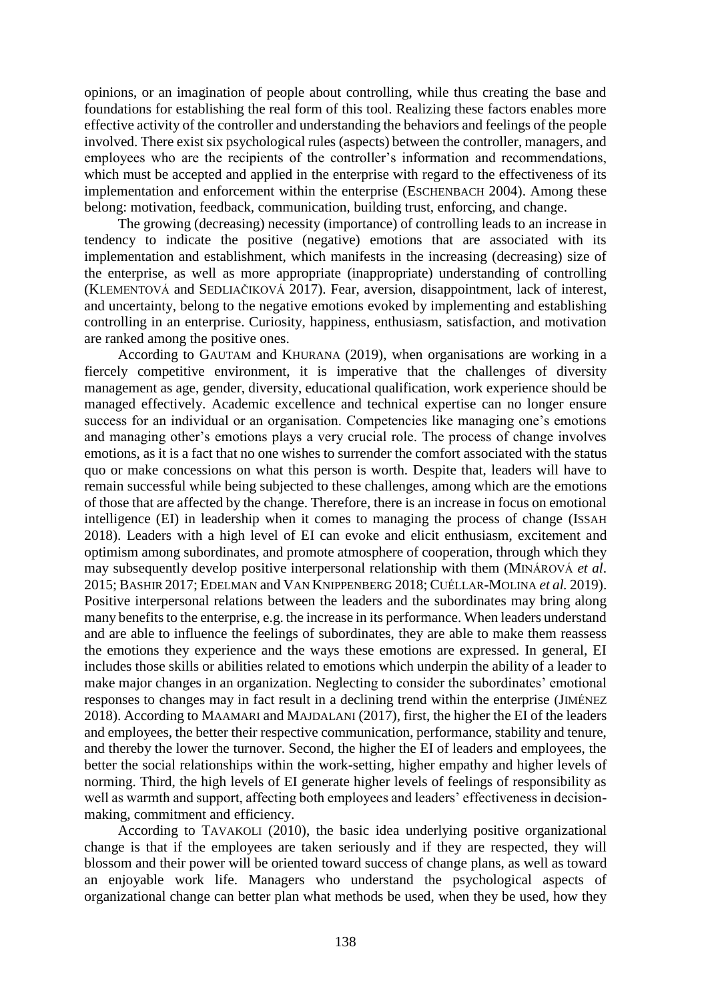opinions, or an imagination of people about controlling, while thus creating the base and foundations for establishing the real form of this tool. Realizing these factors enables more effective activity of the controller and understanding the behaviors and feelings of the people involved. There exist six psychological rules (aspects) between the controller, managers, and employees who are the recipients of the controller's information and recommendations, which must be accepted and applied in the enterprise with regard to the effectiveness of its implementation and enforcement within the enterprise (ESCHENBACH 2004). Among these belong: motivation, feedback, communication, building trust, enforcing, and change.

The growing (decreasing) necessity (importance) of controlling leads to an increase in tendency to indicate the positive (negative) emotions that are associated with its implementation and establishment, which manifests in the increasing (decreasing) size of the enterprise, as well as more appropriate (inappropriate) understanding of controlling (KLEMENTOVÁ and SEDLIAČIKOVÁ 2017). Fear, aversion, disappointment, lack of interest, and uncertainty, belong to the negative emotions evoked by implementing and establishing controlling in an enterprise. Curiosity, happiness, enthusiasm, satisfaction, and motivation are ranked among the positive ones.

According to GAUTAM and KHURANA (2019), when organisations are working in a fiercely competitive environment, it is imperative that the challenges of diversity management as age, gender, diversity, educational qualification, work experience should be managed effectively. Academic excellence and technical expertise can no longer ensure success for an individual or an organisation. Competencies like managing one's emotions and managing other's emotions plays a very crucial role. The process of change involves emotions, as it is a fact that no one wishes to surrender the comfort associated with the status quo or make concessions on what this person is worth. Despite that, leaders will have to remain successful while being subjected to these challenges, among which are the emotions of those that are affected by the change. Therefore, there is an increase in focus on emotional intelligence (EI) in leadership when it comes to managing the process of change (ISSAH 2018). Leaders with a high level of EI can evoke and elicit enthusiasm, excitement and optimism among subordinates, and promote atmosphere of cooperation, through which they may subsequently develop positive interpersonal relationship with them (MINÁROVÁ *et al*. 2015; BASHIR 2017; EDELMAN and VAN KNIPPENBERG 2018; CUÉLLAR-MOLINA *et al.* 2019). Positive interpersonal relations between the leaders and the subordinates may bring along many benefits to the enterprise, e.g. the increase in its performance. When leaders understand and are able to influence the feelings of subordinates, they are able to make them reassess the emotions they experience and the ways these emotions are expressed. In general, EI includes those skills or abilities related to emotions which underpin the ability of a leader to make major changes in an organization. Neglecting to consider the subordinates' emotional responses to changes may in fact result in a declining trend within the enterprise (JIMÉNEZ 2018). According to MAAMARI and MAJDALANI (2017), first, the higher the EI of the leaders and employees, the better their respective communication, performance, stability and tenure, and thereby the lower the turnover. Second, the higher the EI of leaders and employees, the better the social relationships within the work-setting, higher empathy and higher levels of norming. Third, the high levels of EI generate higher levels of feelings of responsibility as well as warmth and support, affecting both employees and leaders' effectiveness in decisionmaking, commitment and efficiency.

According to TAVAKOLI (2010), the basic idea underlying positive organizational change is that if the employees are taken seriously and if they are respected, they will blossom and their power will be oriented toward success of change plans, as well as toward an enjoyable work life. Managers who understand the psychological aspects of organizational change can better plan what methods be used, when they be used, how they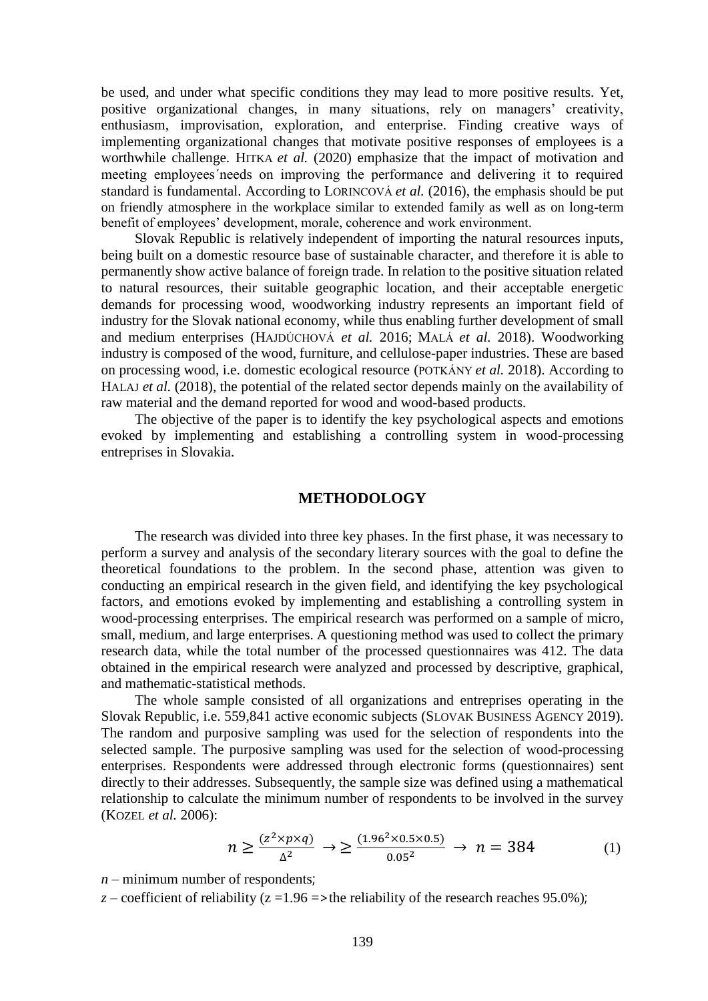be used, and under what specific conditions they may lead to more positive results. Yet, positive organizational changes, in many situations, rely on managers' creativity, enthusiasm, improvisation, exploration, and enterprise. Finding creative ways of implementing organizational changes that motivate positive responses of employees is a worthwhile challenge. HITKA *et al.* (2020) emphasize that the impact of motivation and meeting employees´needs on improving the performance and delivering it to required standard is fundamental. According to LORINCOVÁ *et al.* (2016), the emphasis should be put on friendly atmosphere in the workplace similar to extended family as well as on long-term benefit of employees' development, morale, coherence and work environment.

Slovak Republic is relatively independent of importing the natural resources inputs, being built on a domestic resource base of sustainable character, and therefore it is able to permanently show active balance of foreign trade. In relation to the positive situation related to natural resources, their suitable geographic location, and their acceptable energetic demands for processing wood, woodworking industry represents an important field of industry for the Slovak national economy, while thus enabling further development of small and medium enterprises (HAJDÚCHOVÁ *et al.* 2016; MALÁ *et al.* 2018). Woodworking industry is composed of the wood, furniture, and cellulose-paper industries. These are based on processing wood, i.e. domestic ecological resource (POTKÁNY *et al.* 2018). According to HALAJ *et al.* (2018), the potential of the related sector depends mainly on the availability of raw material and the demand reported for wood and wood-based products.

The objective of the paper is to identify the key psychological aspects and emotions evoked by implementing and establishing a controlling system in wood-processing entreprises in Slovakia.

### **METHODOLOGY**

The research was divided into three key phases. In the first phase, it was necessary to perform a survey and analysis of the secondary literary sources with the goal to define the theoretical foundations to the problem. In the second phase, attention was given to conducting an empirical research in the given field, and identifying the key psychological factors, and emotions evoked by implementing and establishing a controlling system in wood-processing enterprises. The empirical research was performed on a sample of micro, small, medium, and large enterprises. A questioning method was used to collect the primary research data, while the total number of the processed questionnaires was 412. The data obtained in the empirical research were analyzed and processed by descriptive, graphical, and mathematic-statistical methods.

The whole sample consisted of all organizations and entreprises operating in the Slovak Republic, i.e. 559,841 active economic subjects (SLOVAK BUSINESS AGENCY 2019). The random and purposive sampling was used for the selection of respondents into the selected sample. The purposive sampling was used for the selection of wood-processing enterprises. Respondents were addressed through electronic forms (questionnaires) sent directly to their addresses. Subsequently, the sample size was defined using a mathematical relationship to calculate the minimum number of respondents to be involved in the survey (KOZEL *et al.* 2006):

$$
n \ge \frac{(z^2 \times p \times q)}{\Delta^2} \to \ge \frac{(1.96^2 \times 0.5 \times 0.5)}{0.05^2} \to n = 384
$$
 (1)

*n* – minimum number of respondents;

*z* – coefficient of reliability (*z* =1.96 =>the reliability of the research reaches 95.0%);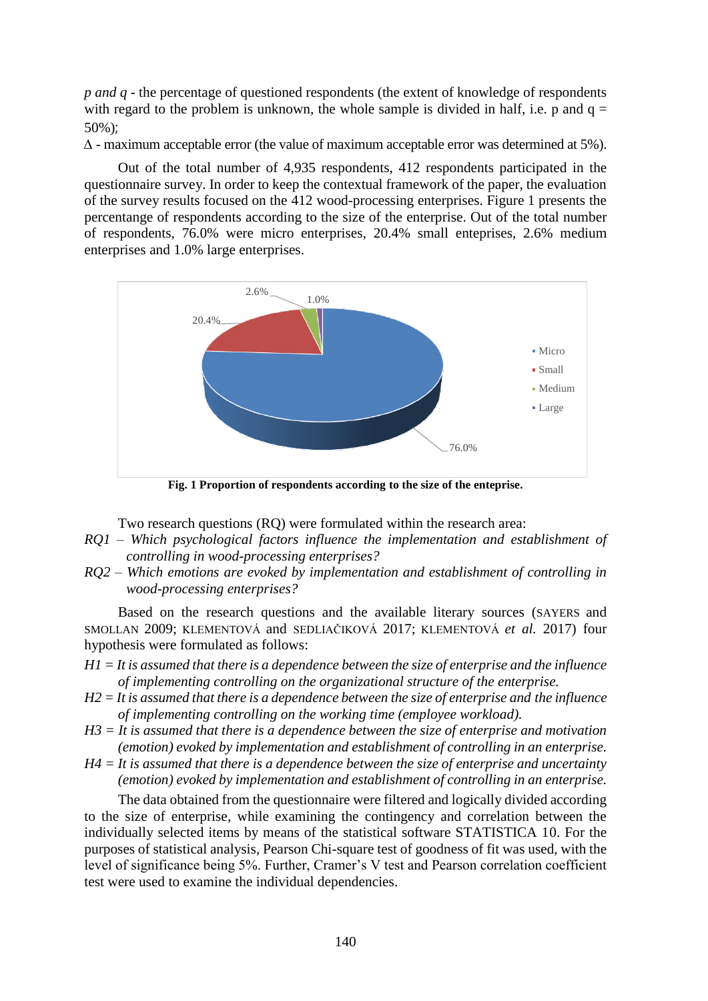*p and q* - the percentage of questioned respondents (the extent of knowledge of respondents with regard to the problem is unknown, the whole sample is divided in half, i.e. p and  $q =$ 50%);

*∆* - maximum acceptable error (the value of maximum acceptable error was determined at 5%).

Out of the total number of 4,935 respondents, 412 respondents participated in the questionnaire survey. In order to keep the contextual framework of the paper, the evaluation of the survey results focused on the 412 wood-processing enterprises. Figure 1 presents the percentange of respondents according to the size of the enterprise. Out of the total number of respondents, 76.0% were micro enterprises, 20.4% small enteprises, 2.6% medium enterprises and 1.0% large enterprises.



**Fig. 1 Proportion of respondents according to the size of the enteprise.**

Two research questions (RQ) were formulated within the research area:

- *RQ1 – Which psychological factors influence the implementation and establishment of controlling in wood-processing enterprises?*
- *RQ2 – Which emotions are evoked by implementation and establishment of controlling in wood-processing enterprises?*

Based on the research questions and the available literary sources (SAYERS and SMOLLAN 2009; KLEMENTOVÁ and SEDLIAČIKOVÁ 2017; KLEMENTOVÁ *et al.* 2017) four hypothesis were formulated as follows:

- *H1 = It is assumed that there is a dependence between the size of enterprise and the influence of implementing controlling on the organizational structure of the enterprise.*
- *H2 = It is assumed that there is a dependence between the size of enterprise and the influence of implementing controlling on the working time (employee workload).*
- *H3 = It is assumed that there is a dependence between the size of enterprise and motivation (emotion) evoked by implementation and establishment of controlling in an enterprise.*
- *H4 = It is assumed that there is a dependence between the size of enterprise and uncertainty (emotion) evoked by implementation and establishment of controlling in an enterprise.*

The data obtained from the questionnaire were filtered and logically divided according to the size of enterprise, while examining the contingency and correlation between the individually selected items by means of the statistical software STATISTICA 10. For the purposes of statistical analysis, Pearson Chi-square test of goodness of fit was used, with the level of significance being 5%. Further, Cramer's V test and Pearson correlation coefficient test were used to examine the individual dependencies.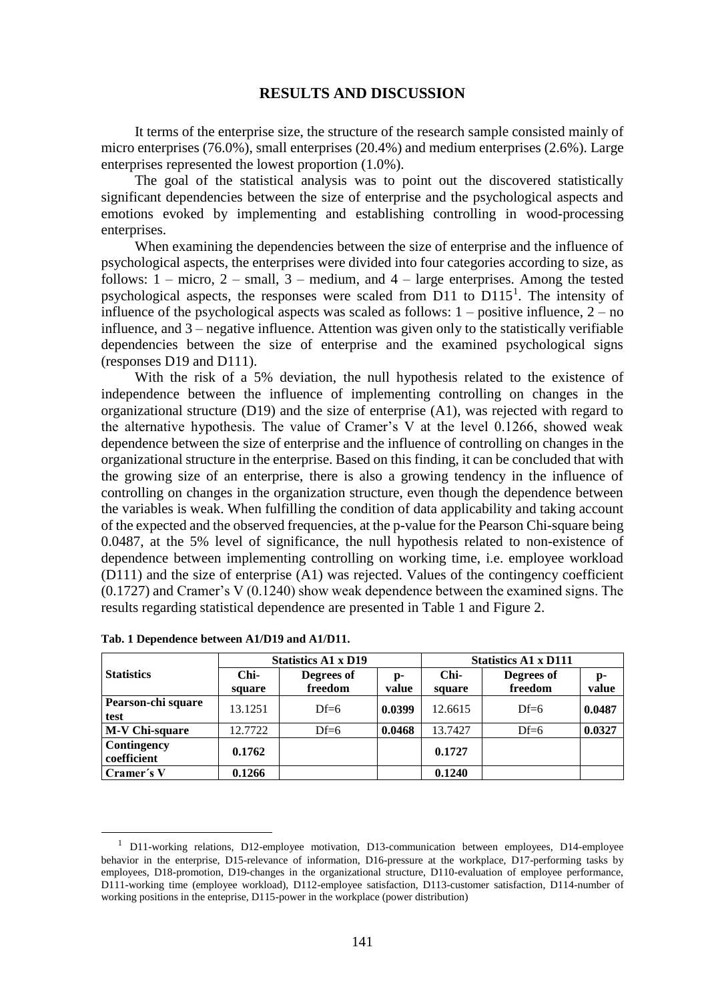## **RESULTS AND DISCUSSION**

It terms of the enterprise size, the structure of the research sample consisted mainly of micro enterprises (76.0%), small enterprises (20.4%) and medium enterprises (2.6%). Large enterprises represented the lowest proportion (1.0%).

The goal of the statistical analysis was to point out the discovered statistically significant dependencies between the size of enterprise and the psychological aspects and emotions evoked by implementing and establishing controlling in wood-processing enterprises.

When examining the dependencies between the size of enterprise and the influence of psychological aspects, the enterprises were divided into four categories according to size, as follows:  $1 -$  micro,  $2 -$  small,  $3 -$  medium, and  $4 -$  large enterprises. Among the tested psychological aspects, the responses were scaled from D11 to  $D115<sup>1</sup>$ . The intensity of influence of the psychological aspects was scaled as follows:  $1 -$  positive influence,  $2 -$  no influence, and 3 – negative influence. Attention was given only to the statistically verifiable dependencies between the size of enterprise and the examined psychological signs (responses D19 and D111).

With the risk of a 5% deviation, the null hypothesis related to the existence of independence between the influence of implementing controlling on changes in the organizational structure  $(D19)$  and the size of enterprise  $(A1)$ , was rejected with regard to the alternative hypothesis. The value of Cramer's V at the level 0.1266, showed weak dependence between the size of enterprise and the influence of controlling on changes in the organizational structure in the enterprise. Based on this finding, it can be concluded that with the growing size of an enterprise, there is also a growing tendency in the influence of controlling on changes in the organization structure, even though the dependence between the variables is weak. When fulfilling the condition of data applicability and taking account of the expected and the observed frequencies, at the p-value for the Pearson Chi-square being 0.0487, at the 5% level of significance, the null hypothesis related to non-existence of dependence between implementing controlling on working time, i.e. employee workload (D111) and the size of enterprise (A1) was rejected. Values of the contingency coefficient (0.1727) and Cramer's V (0.1240) show weak dependence between the examined signs. The results regarding statistical dependence are presented in Table 1 and Figure 2.

|                            | <b>Statistics A1 x D19</b> |                       |             | <b>Statistics A1 x D111</b> |                       |             |
|----------------------------|----------------------------|-----------------------|-------------|-----------------------------|-----------------------|-------------|
| <b>Statistics</b>          | Chi-<br>square             | Degrees of<br>freedom | p-<br>value | Chi-<br>square              | Degrees of<br>freedom | p-<br>value |
| Pearson-chi square<br>test | 13.1251                    | $Df=6$                | 0.0399      | 12.6615                     | $Df=6$                | 0.0487      |
| M-V Chi-square             | 12.7722                    | $Df=6$                | 0.0468      | 13.7427                     | $Df=6$                | 0.0327      |
| Contingency<br>coefficient | 0.1762                     |                       |             | 0.1727                      |                       |             |
| Cramer's V                 | 0.1266                     |                       |             | 0.1240                      |                       |             |

**Tab. 1 Dependence between A1/D19 and A1/D11.**

-

<sup>&</sup>lt;sup>1</sup> D11-working relations, D12-employee motivation, D13-communication between employees, D14-employee behavior in the enterprise, D15-relevance of information, D16-pressure at the workplace, D17-performing tasks by employees, D18-promotion, D19-changes in the organizational structure, D110-evaluation of employee performance, D111-working time (employee workload), D112-employee satisfaction, D113-customer satisfaction, D114-number of working positions in the enteprise, D115-power in the workplace (power distribution)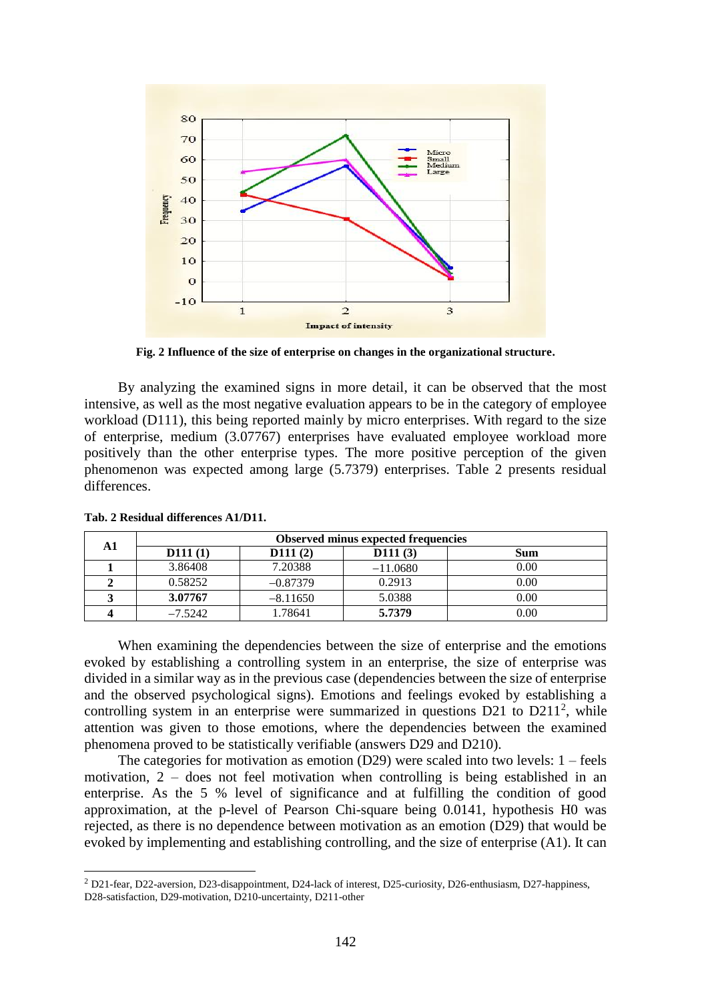

**Fig. 2 Influence of the size of enterprise on changes in the organizational structure.**

By analyzing the examined signs in more detail, it can be observed that the most intensive, as well as the most negative evaluation appears to be in the category of employee workload (D111), this being reported mainly by micro enterprises. With regard to the size of enterprise, medium (3.07767) enterprises have evaluated employee workload more positively than the other enterprise types. The more positive perception of the given phenomenon was expected among large (5.7379) enterprises. Table 2 presents residual differences.

| A 1 | <b>Observed minus expected frequencies</b> |            |            |      |  |  |
|-----|--------------------------------------------|------------|------------|------|--|--|
|     | D111(1)                                    | D111(2)    | D111(3)    | Sum  |  |  |
|     | 3.86408                                    | 7.20388    | $-11.0680$ | 0.00 |  |  |
|     | 0.58252                                    | $-0.87379$ | 0.2913     | 0.00 |  |  |
|     | 3.07767                                    | $-8.11650$ | 5.0388     | 0.00 |  |  |
|     | $-7.5242$                                  | 1.78641    | 5.7379     | 0.00 |  |  |

**Tab. 2 Residual differences A1/D11.**

 $\overline{a}$ 

When examining the dependencies between the size of enterprise and the emotions evoked by establishing a controlling system in an enterprise, the size of enterprise was divided in a similar way as in the previous case (dependencies between the size of enterprise and the observed psychological signs). Emotions and feelings evoked by establishing a controlling system in an enterprise were summarized in questions  $D21$  to  $D211<sup>2</sup>$ , while attention was given to those emotions, where the dependencies between the examined phenomena proved to be statistically verifiable (answers D29 and D210).

The categories for motivation as emotion (D29) were scaled into two levels: 1 – feels motivation, 2 – does not feel motivation when controlling is being established in an enterprise. As the 5 % level of significance and at fulfilling the condition of good approximation, at the p-level of Pearson Chi-square being 0.0141, hypothesis H0 was rejected, as there is no dependence between motivation as an emotion (D29) that would be evoked by implementing and establishing controlling, and the size of enterprise (A1). It can

<sup>2</sup> D21-fear, D22-aversion, D23-disappointment, D24-lack of interest, D25-curiosity, D26-enthusiasm, D27-happiness, D28-satisfaction, D29-motivation, D210-uncertainty, D211-other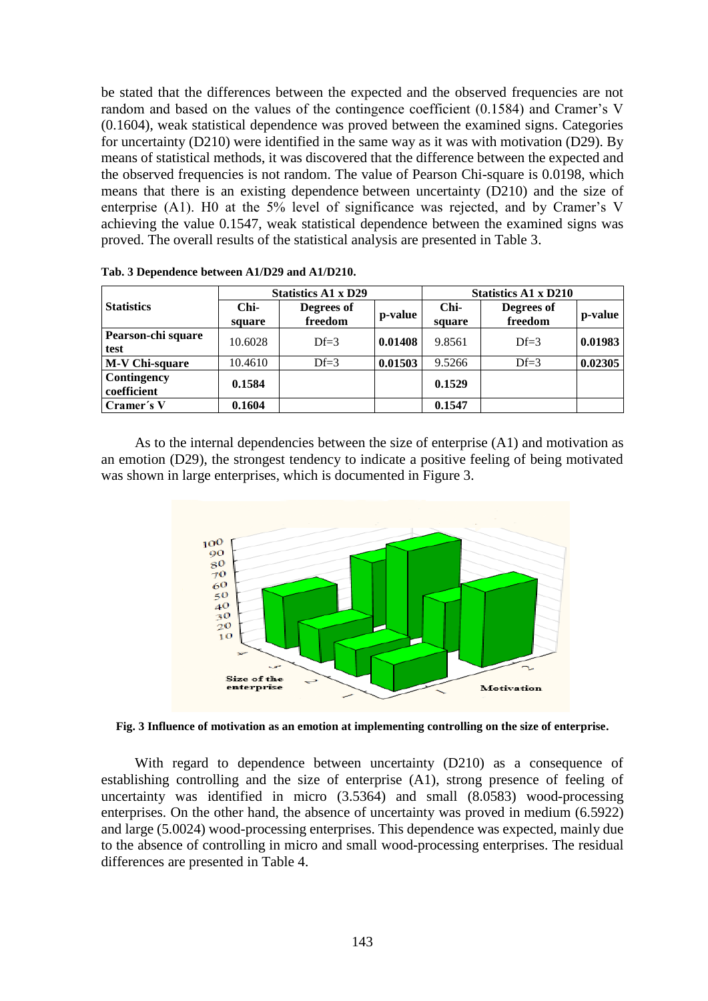be stated that the differences between the expected and the observed frequencies are not random and based on the values of the contingence coefficient (0.1584) and Cramer's V (0.1604), weak statistical dependence was proved between the examined signs. Categories for uncertainty (D210) were identified in the same way as it was with motivation (D29). By means of statistical methods, it was discovered that the difference between the expected and the observed frequencies is not random. The value of Pearson Chi-square is 0.0198, which means that there is an existing dependence between uncertainty (D210) and the size of enterprise (A1). H0 at the 5% level of significance was rejected, and by Cramer's V achieving the value 0.1547, weak statistical dependence between the examined signs was proved. The overall results of the statistical analysis are presented in Table 3.

|                            | <b>Statistics A1 x D29</b> |                       |         | <b>Statistics A1 x D210</b> |                       |         |
|----------------------------|----------------------------|-----------------------|---------|-----------------------------|-----------------------|---------|
| <b>Statistics</b>          | $Chi-$<br>square           | Degrees of<br>freedom | p-value | Chi-<br>square              | Degrees of<br>freedom | p-value |
| Pearson-chi square<br>test | 10.6028                    | $Df=3$                | 0.01408 | 9.8561                      | $Df=3$                | 0.01983 |
| <b>M-V Chi-square</b>      | 10.4610                    | $Df=3$                | 0.01503 | 9.5266                      | $Df=3$                | 0.02305 |
| Contingency<br>coefficient | 0.1584                     |                       |         | 0.1529                      |                       |         |
| Cramer's V                 | 0.1604                     |                       |         | 0.1547                      |                       |         |

As to the internal dependencies between the size of enterprise (A1) and motivation as an emotion (D29), the strongest tendency to indicate a positive feeling of being motivated was shown in large enterprises, which is documented in Figure 3.



**Fig. 3 Influence of motivation as an emotion at implementing controlling on the size of enterprise.**

With regard to dependence between uncertainty (D210) as a consequence of establishing controlling and the size of enterprise (A1), strong presence of feeling of uncertainty was identified in micro (3.5364) and small (8.0583) wood-processing enterprises. On the other hand, the absence of uncertainty was proved in medium (6.5922) and large (5.0024) wood-processing enterprises. This dependence was expected, mainly due to the absence of controlling in micro and small wood-processing enterprises. The residual differences are presented in Table 4.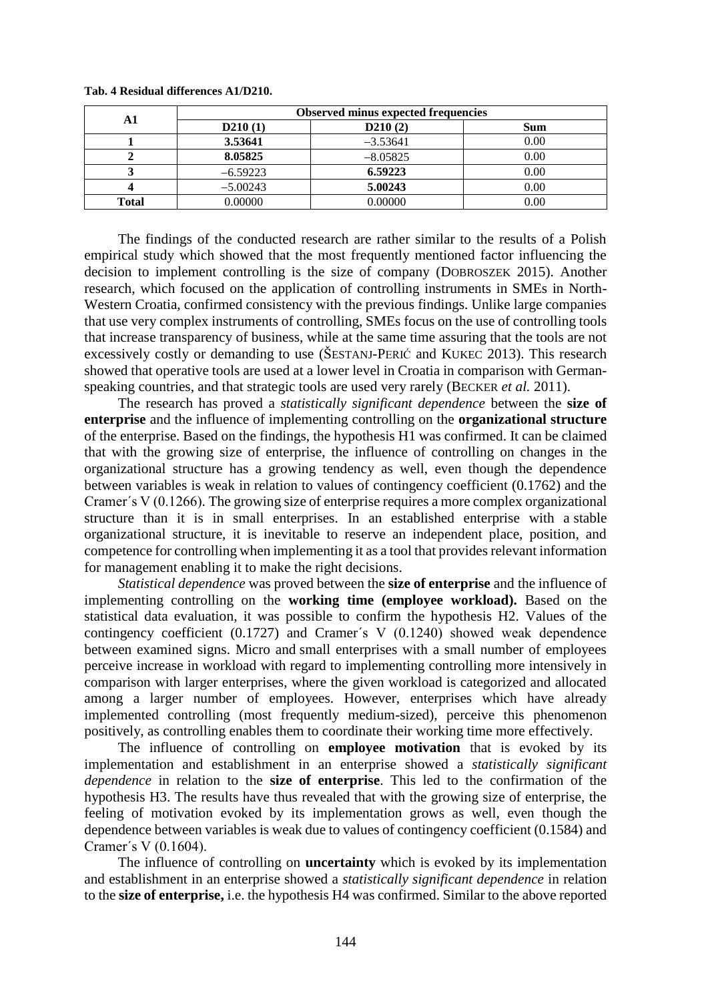| A1           | <b>Observed minus expected frequencies</b> |            |      |  |  |
|--------------|--------------------------------------------|------------|------|--|--|
|              | D210(1)                                    | D210(2)    | Sum  |  |  |
|              | 3.53641                                    | $-3.53641$ | 0.00 |  |  |
|              | 8.05825                                    | $-8.05825$ | 0.00 |  |  |
|              | $-6.59223$                                 | 6.59223    | 0.00 |  |  |
|              | $-5.00243$                                 | 5.00243    | 0.00 |  |  |
| <b>Total</b> | 0.00000                                    | 0.00000    | 0.00 |  |  |

#### **Tab. 4 Residual differences A1/D210.**

The findings of the conducted research are rather similar to the results of a Polish empirical study which showed that the most frequently mentioned factor influencing the decision to implement controlling is the size of company (DOBROSZEK 2015). Another research, which focused on the application of controlling instruments in SMEs in North-Western Croatia, confirmed consistency with the previous findings. Unlike large companies that use very complex instruments of controlling, SMEs focus on the use of controlling tools that increase transparency of business, while at the same time assuring that the tools are not excessively costly or demanding to use (ŠESTANJ-PERIĆ and KUKEC 2013). This research showed that operative tools are used at a lower level in Croatia in comparison with Germanspeaking countries, and that strategic tools are used very rarely (BECKER *et al.* 2011).

The research has proved a *statistically significant dependence* between the **size of enterprise** and the influence of implementing controlling on the **organizational structure** of the enterprise. Based on the findings, the hypothesis H1 was confirmed. It can be claimed that with the growing size of enterprise, the influence of controlling on changes in the organizational structure has a growing tendency as well, even though the dependence between variables is weak in relation to values of contingency coefficient (0.1762) and the Cramer´s V (0.1266). The growing size of enterprise requires a more complex organizational structure than it is in small enterprises. In an established enterprise with a stable organizational structure, it is inevitable to reserve an independent place, position, and competence for controlling when implementing it as a tool that provides relevant information for management enabling it to make the right decisions.

*Statistical dependence* was proved between the **size of enterprise** and the influence of implementing controlling on the **working time (employee workload).** Based on the statistical data evaluation, it was possible to confirm the hypothesis H2. Values of the contingency coefficient (0.1727) and Cramer´s V (0.1240) showed weak dependence between examined signs. Micro and small enterprises with a small number of employees perceive increase in workload with regard to implementing controlling more intensively in comparison with larger enterprises, where the given workload is categorized and allocated among a larger number of employees. However, enterprises which have already implemented controlling (most frequently medium-sized), perceive this phenomenon positively, as controlling enables them to coordinate their working time more effectively.

The influence of controlling on **employee motivation** that is evoked by its implementation and establishment in an enterprise showed a *statistically significant dependence* in relation to the **size of enterprise**. This led to the confirmation of the hypothesis H3. The results have thus revealed that with the growing size of enterprise, the feeling of motivation evoked by its implementation grows as well, even though the dependence between variables is weak due to values of contingency coefficient (0.1584) and Cramer´s V (0.1604).

The influence of controlling on **uncertainty** which is evoked by its implementation and establishment in an enterprise showed a *statistically significant dependence* in relation to the **size of enterprise,** i.e. the hypothesis H4 was confirmed. Similar to the above reported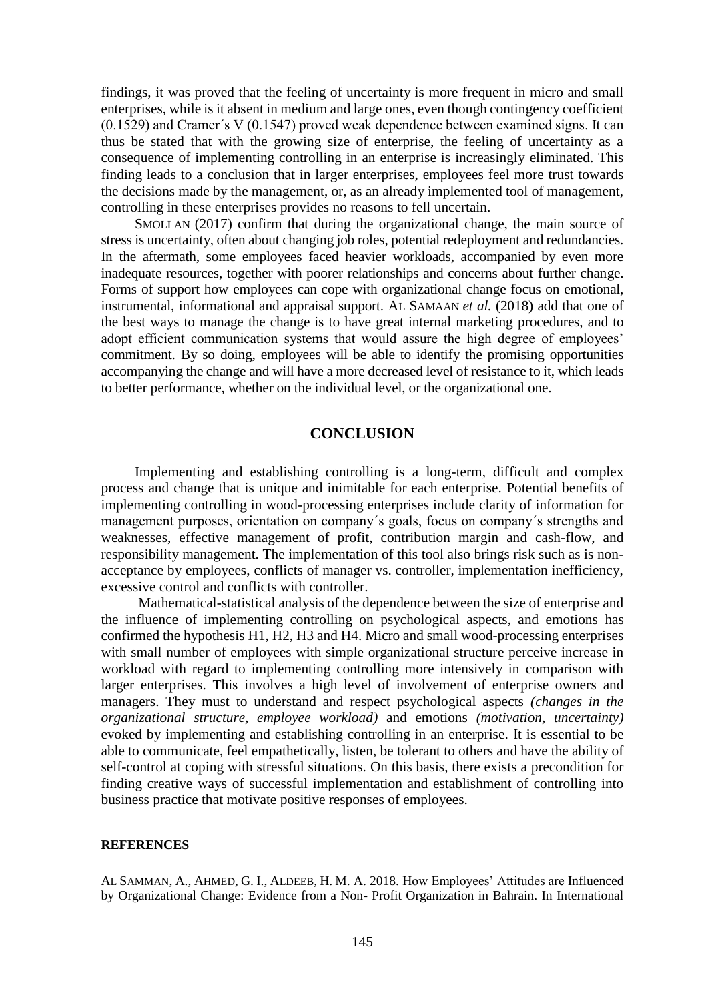findings, it was proved that the feeling of uncertainty is more frequent in micro and small enterprises, while is it absent in medium and large ones, even though contingency coefficient (0.1529) and Cramer´s V (0.1547) proved weak dependence between examined signs. It can thus be stated that with the growing size of enterprise, the feeling of uncertainty as a consequence of implementing controlling in an enterprise is increasingly eliminated. This finding leads to a conclusion that in larger enterprises, employees feel more trust towards the decisions made by the management, or, as an already implemented tool of management, controlling in these enterprises provides no reasons to fell uncertain.

SMOLLAN (2017) confirm that during the organizational change, the main source of stress is uncertainty, often about changing job roles, potential redeployment and redundancies. In the aftermath, some employees faced heavier workloads, accompanied by even more inadequate resources, together with poorer relationships and concerns about further change. Forms of support how employees can cope with organizational change focus on emotional, instrumental, informational and appraisal support. AL SAMAAN *et al.* (2018) add that one of the best ways to manage the change is to have great internal marketing procedures, and to adopt efficient communication systems that would assure the high degree of employees' commitment. By so doing, employees will be able to identify the promising opportunities accompanying the change and will have a more decreased level of resistance to it, which leads to better performance, whether on the individual level, or the organizational one.

### **CONCLUSION**

Implementing and establishing controlling is a long-term, difficult and complex process and change that is unique and inimitable for each enterprise. Potential benefits of implementing controlling in wood-processing enterprises include clarity of information for management purposes, orientation on company´s goals, focus on company´s strengths and weaknesses, effective management of profit, contribution margin and cash-flow, and responsibility management. The implementation of this tool also brings risk such as is nonacceptance by employees, conflicts of manager vs. controller, implementation inefficiency, excessive control and conflicts with controller.

Mathematical-statistical analysis of the dependence between the size of enterprise and the influence of implementing controlling on psychological aspects, and emotions has confirmed the hypothesis H1, H2, H3 and H4. Micro and small wood-processing enterprises with small number of employees with simple organizational structure perceive increase in workload with regard to implementing controlling more intensively in comparison with larger enterprises. This involves a high level of involvement of enterprise owners and managers. They must to understand and respect psychological aspects *(changes in the organizational structure, employee workload)* and emotions *(motivation, uncertainty)* evoked by implementing and establishing controlling in an enterprise. It is essential to be able to communicate, feel empathetically, listen, be tolerant to others and have the ability of self-control at coping with stressful situations. On this basis, there exists a precondition for finding creative ways of successful implementation and establishment of controlling into business practice that motivate positive responses of employees.

#### **REFERENCES**

AL SAMMAN, A., AHMED, G. I., ALDEEB, H. M. A. 2018. How Employees' Attitudes are Influenced by Organizational Change: Evidence from a Non- Profit Organization in Bahrain. In International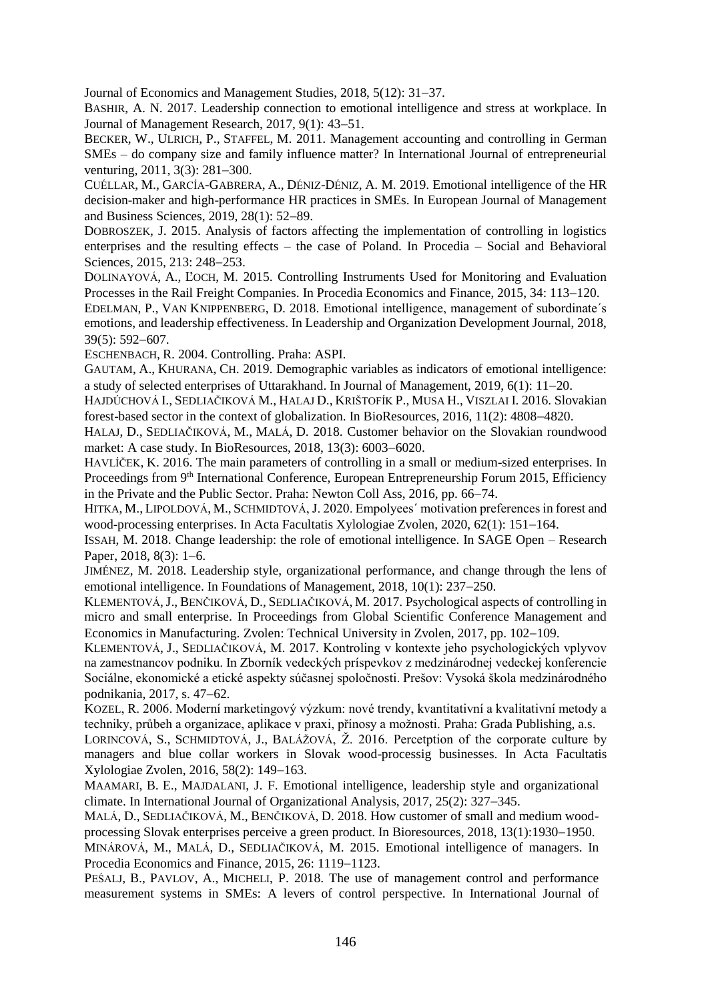Journal of Economics and Management Studies, 2018, 5(12): 31–37.

BASHIR, A. N. 2017. Leadership connection to emotional intelligence and stress at workplace. In Journal of Management Research, 2017, 9(1): 43-51.

BECKER, W., ULRICH, P., STAFFEL, M. 2011. Management accounting and controlling in German SMEs – do company size and family influence matter? In International Journal of entrepreneurial venturing,  $2011$ ,  $3(3)$ ;  $281-300$ .

CUÉLLAR, M., GARCÍA-GABRERA, A., DÉNIZ-DÉNIZ, A. M. 2019. Emotional intelligence of the HR decision-maker and high-performance HR practices in SMEs. In European Journal of Management and Business Sciences,  $2019, 28(1)$ :  $52-89$ .

DOBROSZEK, J. 2015. Analysis of factors affecting the implementation of controlling in logistics enterprises and the resulting effects – the case of Poland. In Procedia – Social and Behavioral Sciences, 2015, 213: 248-253.

DOLINAYOVÁ, A., ĽOCH, M. 2015. Controlling Instruments Used for Monitoring and Evaluation Processes in the Rail Freight Companies. In Procedia Economics and Finance, 2015, 34: 113–120.

EDELMAN, P., VAN KNIPPENBERG, D. 2018. Emotional intelligence, management of subordinate´s emotions, and leadership effectiveness. In Leadership and Organization Development Journal, 2018, 39(5): 592-607.

ESCHENBACH, R. 2004. Controlling. Praha: ASPI.

GAUTAM, A., KHURANA, CH. 2019. Demographic variables as indicators of emotional intelligence: a study of selected enterprises of Uttarakhand. In Journal of Management,  $2019, 6(1)$ :  $11-20$ .

HAJDÚCHOVÁ I., SEDLIAČIKOVÁ M., HALAJ D., KRIŠTOFÍK P., MUSA H., VISZLAI I. 2016. Slovakian forest-based sector in the context of globalization. In BioResources,  $2016$ ,  $11(2)$ : 4808-4820.

HALAJ, D., SEDLIAČIKOVÁ, M., MALÁ, D. 2018. Customer behavior on the Slovakian roundwood market: A case study. In BioResources,  $2018$ ,  $13(3)$ :  $6003-6020$ .

HAVLÍČEK, K. 2016. The main parameters of controlling in a small or medium-sized enterprises. In Proceedings from 9<sup>th</sup> International Conference, European Entrepreneurship Forum 2015, Efficiency in the Private and the Public Sector. Praha: Newton Coll Ass, 2016, pp. 66–74.

HITKA, M., LIPOLDOVÁ, M., SCHMIDTOVÁ, J. 2020. Empolyees´ motivation preferences in forest and wood-processing enterprises. In Acta Facultatis Xylologiae Zvolen, 2020, 62(1): 151-164.

ISSAH, M. 2018. Change leadership: the role of emotional intelligence. In SAGE Open – Research Paper,  $2018$ ,  $8(3)$ : 1–6.

JIMÉNEZ, M. 2018. Leadership style, organizational performance, and change through the lens of emotional intelligence. In Foundations of Management,  $2018$ ,  $10(1)$ :  $237-250$ .

KLEMENTOVÁ,J., BENČIKOVÁ, D., SEDLIAČIKOVÁ, M. 2017. Psychological aspects of controlling in micro and small enterprise. In Proceedings from Global Scientific Conference Management and Economics in Manufacturing. Zvolen: Technical University in Zvolen, 2017, pp. 102–109.

KLEMENTOVÁ, J., SEDLIAČIKOVÁ, M. 2017. Kontroling v kontexte jeho psychologických vplyvov na zamestnancov podniku. In Zborník vedeckých príspevkov z medzinárodnej vedeckej konferencie Sociálne, ekonomické a etické aspekty súčasnej spoločnosti. Prešov: Vysoká škola medzinárodného podnikania, 2017, s. 47–62.

KOZEL, R. 2006. Moderní marketingový výzkum: nové trendy, kvantitativní a kvalitativní metody a techniky, průbeh a organizace, aplikace v praxi, přínosy a možnosti. Praha: Grada Publishing, a.s.

LORINCOVÁ, S., SCHMIDTOVÁ, J., BALÁŽOVÁ, Ž. 2016. Percetption of the corporate culture by managers and blue collar workers in Slovak wood-processig businesses. In Acta Facultatis Xylologiae Zvolen, 2016, 58(2): 149–163.

MAAMARI, B. E., MAJDALANI, J. F. Emotional intelligence, leadership style and organizational climate. In International Journal of Organizational Analysis,  $2017$ ,  $25(2)$ :  $327-345$ .

MALÁ, D., SEDLIAČIKOVÁ, M., BENČIKOVÁ, D. 2018. How customer of small and medium woodprocessing Slovak enterprises perceive a green product. In Bioresources, 2018, 13(1):1930–1950.

MINÁROVÁ, M., MALÁ, D., SEDLIAČIKOVÁ, M. 2015. Emotional intelligence of managers. In Procedia Economics and Finance, 2015, 26: 1119–1123.

PEŚALJ, B., PAVLOV, A., MICHELI, P. 2018. The use of management control and performance measurement systems in SMEs: A levers of control perspective. In International Journal of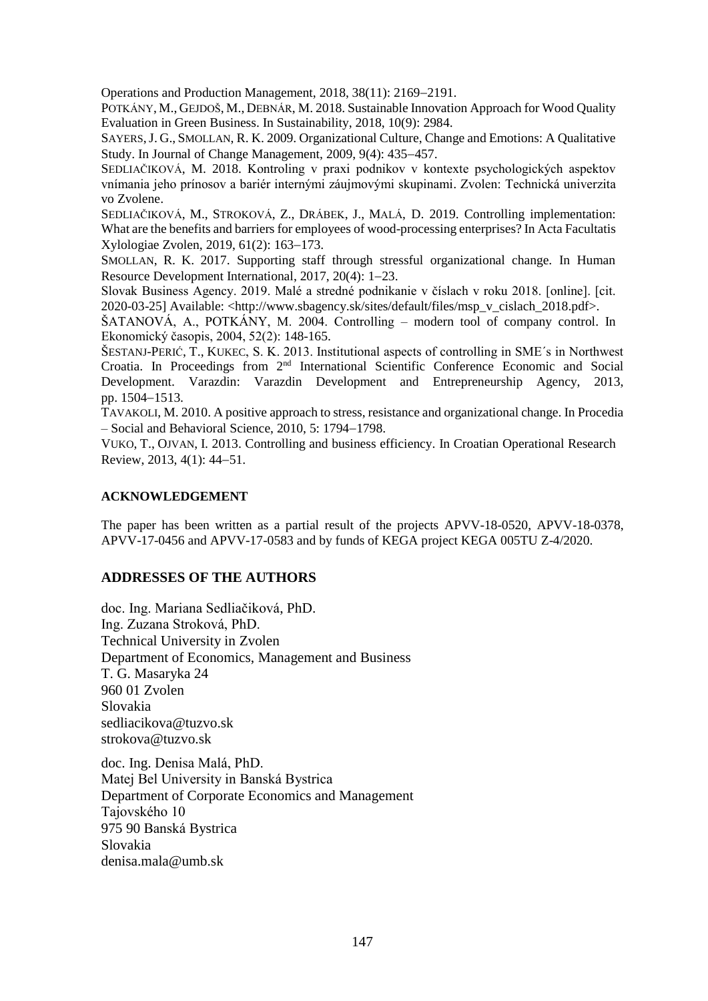Operations and Production Management,  $2018$ ,  $38(11)$ :  $2169-2191$ .

POTKÁNY, M., GEJDOŠ, M., DEBNÁR, M. 2018. Sustainable Innovation Approach for Wood Quality Evaluation in Green Business. In Sustainability, 2018, 10(9): 2984.

SAYERS,J. G., SMOLLAN, R. K. 2009. Organizational Culture, Change and Emotions: A Qualitative Study. In Journal of Change Management, 2009, 9(4): 435–457.

SEDLIAČIKOVÁ, M. 2018. Kontroling v praxi podnikov v kontexte psychologických aspektov vnímania jeho prínosov a bariér internými záujmovými skupinami. Zvolen: Technická univerzita vo Zvolene.

SEDLIAČIKOVÁ, M., STROKOVÁ, Z., DRÁBEK, J., MALÁ, D. 2019. Controlling implementation: What are the benefits and barriers for employees of wood-processing enterprises? In Acta Facultatis Xylologiae Zvolen, 2019, 61(2): 163–173.

SMOLLAN, R. K. 2017. Supporting staff through stressful organizational change. In Human Resource Development International, 2017, 20(4): 1-23.

Slovak Business Agency. 2019. Malé a stredné podnikanie v číslach v roku 2018. [online]. [cit. 2020-03-25] Available: <http://www.sbagency.sk/sites/default/files/msp\_v\_cislach\_2018.pdf>.

ŠATANOVÁ, A., POTKÁNY, M. 2004. Controlling – modern tool of company control. In Ekonomický časopis, 2004, 52(2): 148-165.

ŠESTANJ-PERIĆ, T., KUKEC, S. K. 2013. Institutional aspects of controlling in SME´s in Northwest Croatia. In Proceedings from 2nd International Scientific Conference Economic and Social Development. Varazdin: Varazdin Development and Entrepreneurship Agency, 2013, pp. 1504-1513.

TAVAKOLI, M. 2010. A positive approach to stress, resistance and organizational change. In Procedia  $-$  Social and Behavioral Science, 2010, 5: 1794–1798.

VUKO, T., OJVAN, I. 2013. Controlling and business efficiency. In Croatian Operational Research Review, 2013, 4(1): 44–51.

## **ACKNOWLEDGEMENT**

The paper has been written as a partial result of the projects APVV-18-0520, APVV-18-0378, APVV-17-0456 and APVV-17-0583 and by funds of KEGA project KEGA 005TU Z-4/2020.

## **ADDRESSES OF THE AUTHORS**

doc. Ing. Mariana Sedliačiková, PhD. Ing. Zuzana Stroková, PhD. Technical University in Zvolen Department of Economics, Management and Business T. G. Masaryka 24 960 01 Zvolen Slovakia sedliacikova@tuzvo.sk strokova@tuzvo.sk

doc. Ing. Denisa Malá, PhD. Matej Bel University in Banská Bystrica Department of Corporate Economics and Management Tajovského 10 975 90 Banská Bystrica Slovakia denisa.mala@umb.sk